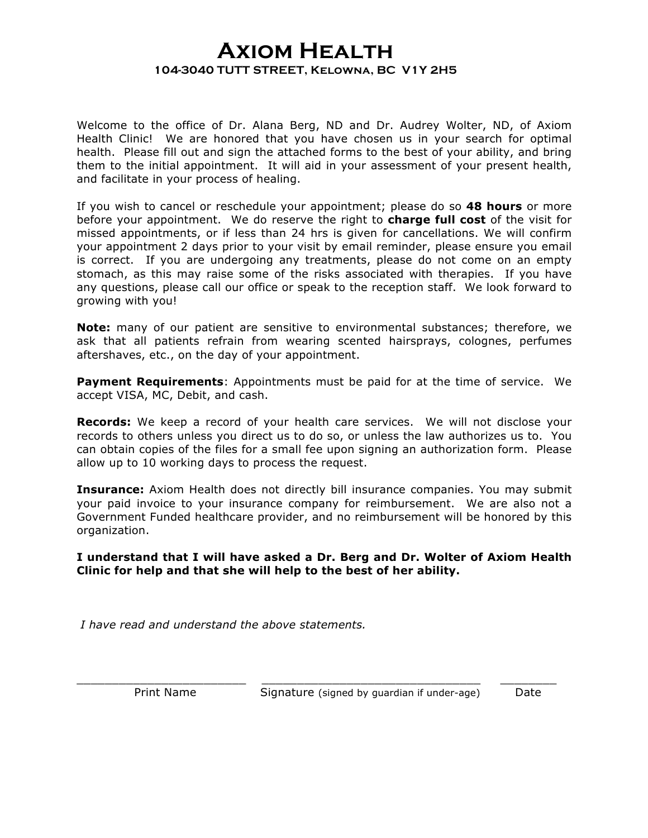## **Axiom Health 104-3040 TUTT STREET, Kelowna, BC V1Y 2H5**

Welcome to the office of Dr. Alana Berg, ND and Dr. Audrey Wolter, ND, of Axiom Health Clinic! We are honored that you have chosen us in your search for optimal health. Please fill out and sign the attached forms to the best of your ability, and bring them to the initial appointment. It will aid in your assessment of your present health, and facilitate in your process of healing.

If you wish to cancel or reschedule your appointment; please do so **48 hours** or more before your appointment. We do reserve the right to **charge full cost** of the visit for missed appointments, or if less than 24 hrs is given for cancellations. We will confirm your appointment 2 days prior to your visit by email reminder, please ensure you email is correct. If you are undergoing any treatments, please do not come on an empty stomach, as this may raise some of the risks associated with therapies. If you have any questions, please call our office or speak to the reception staff. We look forward to growing with you!

**Note:** many of our patient are sensitive to environmental substances; therefore, we ask that all patients refrain from wearing scented hairsprays, colognes, perfumes aftershaves, etc., on the day of your appointment.

**Payment Requirements**: Appointments must be paid for at the time of service. We accept VISA, MC, Debit, and cash.

**Records:** We keep a record of your health care services. We will not disclose your records to others unless you direct us to do so, or unless the law authorizes us to. You can obtain copies of the files for a small fee upon signing an authorization form. Please allow up to 10 working days to process the request.

**Insurance:** Axiom Health does not directly bill insurance companies. You may submit your paid invoice to your insurance company for reimbursement. We are also not a Government Funded healthcare provider, and no reimbursement will be honored by this organization.

**I understand that I will have asked a Dr. Berg and Dr. Wolter of Axiom Health Clinic for help and that she will help to the best of her ability.**

\_\_\_\_\_\_\_\_\_\_\_\_\_\_\_\_\_\_\_\_\_\_\_\_ \_\_\_\_\_\_\_\_\_\_\_\_\_\_\_\_\_\_\_\_\_\_\_\_\_\_\_\_\_\_\_ \_\_\_\_\_\_\_\_

*I have read and understand the above statements.*

Print Name Signature (signed by quardian if under-age) Date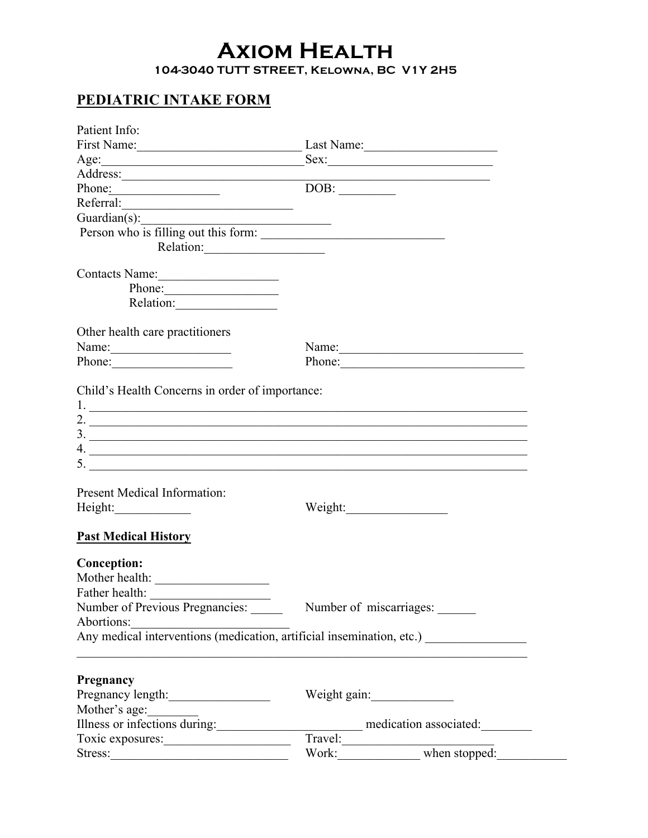## **Axiom Health**

**104-3040 TUTT STREET, Kelowna, BC V1Y 2H5**

## **PEDIATRIC INTAKE FORM**

| Patient Info:                                                                   |                                                                                                                                                                                                                                                                                                                        |  |  |
|---------------------------------------------------------------------------------|------------------------------------------------------------------------------------------------------------------------------------------------------------------------------------------------------------------------------------------------------------------------------------------------------------------------|--|--|
| First Name: Last Name: Last Name:                                               |                                                                                                                                                                                                                                                                                                                        |  |  |
|                                                                                 | Sex:                                                                                                                                                                                                                                                                                                                   |  |  |
|                                                                                 | <u> 1989 - Johann Stoff, Amerikaansk politiker (</u>                                                                                                                                                                                                                                                                   |  |  |
| Phone:                                                                          | $\overline{\text{DOB}}$ :                                                                                                                                                                                                                                                                                              |  |  |
| Referral:                                                                       |                                                                                                                                                                                                                                                                                                                        |  |  |
|                                                                                 |                                                                                                                                                                                                                                                                                                                        |  |  |
| Guardian(s):<br>Person who is filling out this form:                            |                                                                                                                                                                                                                                                                                                                        |  |  |
| Relation:                                                                       |                                                                                                                                                                                                                                                                                                                        |  |  |
| Contacts Name:                                                                  |                                                                                                                                                                                                                                                                                                                        |  |  |
| Phone:                                                                          |                                                                                                                                                                                                                                                                                                                        |  |  |
| Relation:                                                                       |                                                                                                                                                                                                                                                                                                                        |  |  |
|                                                                                 |                                                                                                                                                                                                                                                                                                                        |  |  |
| Other health care practitioners<br>Name: $\frac{1}{2}$                          | Name:                                                                                                                                                                                                                                                                                                                  |  |  |
| Phone:                                                                          | Phone:                                                                                                                                                                                                                                                                                                                 |  |  |
|                                                                                 |                                                                                                                                                                                                                                                                                                                        |  |  |
| Child's Health Concerns in order of importance:                                 |                                                                                                                                                                                                                                                                                                                        |  |  |
|                                                                                 | $1.$ $\overline{\phantom{a}}$                                                                                                                                                                                                                                                                                          |  |  |
|                                                                                 | 2. $\frac{1}{2}$                                                                                                                                                                                                                                                                                                       |  |  |
|                                                                                 | $\frac{3}{2}$                                                                                                                                                                                                                                                                                                          |  |  |
|                                                                                 | 4.                                                                                                                                                                                                                                                                                                                     |  |  |
|                                                                                 | 5. $\frac{1}{2}$ $\frac{1}{2}$ $\frac{1}{2}$ $\frac{1}{2}$ $\frac{1}{2}$ $\frac{1}{2}$ $\frac{1}{2}$ $\frac{1}{2}$ $\frac{1}{2}$ $\frac{1}{2}$ $\frac{1}{2}$ $\frac{1}{2}$ $\frac{1}{2}$ $\frac{1}{2}$ $\frac{1}{2}$ $\frac{1}{2}$ $\frac{1}{2}$ $\frac{1}{2}$ $\frac{1}{2}$ $\frac{1}{2}$ $\frac{1}{2}$ $\frac{1}{2}$ |  |  |
|                                                                                 |                                                                                                                                                                                                                                                                                                                        |  |  |
| <b>Present Medical Information:</b>                                             |                                                                                                                                                                                                                                                                                                                        |  |  |
|                                                                                 |                                                                                                                                                                                                                                                                                                                        |  |  |
| <b>Past Medical History</b>                                                     |                                                                                                                                                                                                                                                                                                                        |  |  |
| <b>Conception:</b>                                                              |                                                                                                                                                                                                                                                                                                                        |  |  |
|                                                                                 |                                                                                                                                                                                                                                                                                                                        |  |  |
| Father health:                                                                  |                                                                                                                                                                                                                                                                                                                        |  |  |
| Number of Previous Pregnancies: Number of miscarriages: Number of miscarriages: |                                                                                                                                                                                                                                                                                                                        |  |  |
| Abortions:                                                                      |                                                                                                                                                                                                                                                                                                                        |  |  |
|                                                                                 | Abortions:<br>Any medical interventions (medication, artificial insemination, etc.)                                                                                                                                                                                                                                    |  |  |
|                                                                                 |                                                                                                                                                                                                                                                                                                                        |  |  |
|                                                                                 |                                                                                                                                                                                                                                                                                                                        |  |  |
| Pregnancy                                                                       |                                                                                                                                                                                                                                                                                                                        |  |  |
| Pregnancy length:                                                               | Weight gain:                                                                                                                                                                                                                                                                                                           |  |  |
| Mother's age:                                                                   |                                                                                                                                                                                                                                                                                                                        |  |  |
| Illness or infections during:                                                   | medication associated:                                                                                                                                                                                                                                                                                                 |  |  |
|                                                                                 | Travel:<br>Work: when stopped:                                                                                                                                                                                                                                                                                         |  |  |
| Stress:                                                                         |                                                                                                                                                                                                                                                                                                                        |  |  |